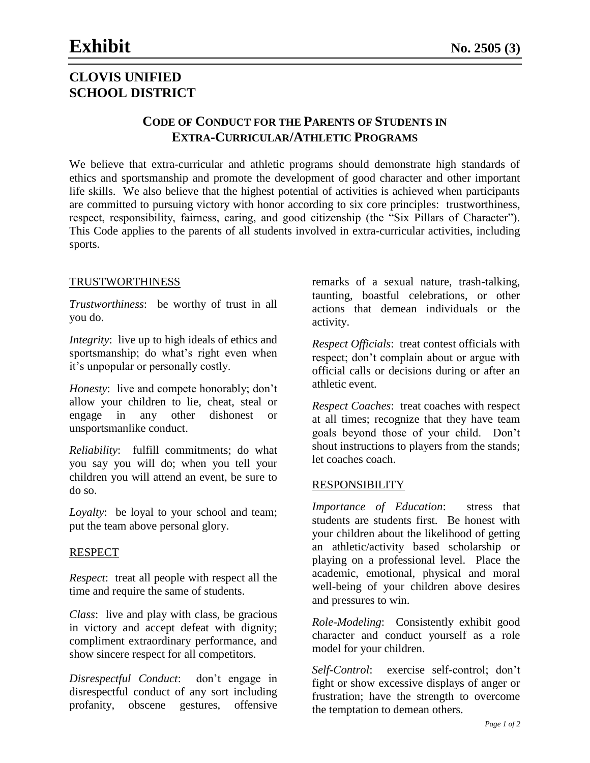# **CLOVIS UNIFIED SCHOOL DISTRICT**

## **CODE OF CONDUCT FOR THE PARENTS OF STUDENTS IN EXTRA-CURRICULAR/ATHLETIC PROGRAMS**

We believe that extra-curricular and athletic programs should demonstrate high standards of ethics and sportsmanship and promote the development of good character and other important life skills. We also believe that the highest potential of activities is achieved when participants are committed to pursuing victory with honor according to six core principles: trustworthiness, respect, responsibility, fairness, caring, and good citizenship (the "Six Pillars of Character"). This Code applies to the parents of all students involved in extra-curricular activities, including sports.

#### TRUSTWORTHINESS

*Trustworthiness*: be worthy of trust in all you do.

*Integrity*: live up to high ideals of ethics and sportsmanship; do what's right even when it's unpopular or personally costly.

*Honesty*: live and compete honorably; don't allow your children to lie, cheat, steal or engage in any other dishonest or unsportsmanlike conduct.

*Reliability*: fulfill commitments; do what you say you will do; when you tell your children you will attend an event, be sure to do so.

*Loyalty*: be loyal to your school and team; put the team above personal glory.

#### RESPECT

*Respect*: treat all people with respect all the time and require the same of students.

*Class*: live and play with class, be gracious in victory and accept defeat with dignity; compliment extraordinary performance, and show sincere respect for all competitors.

*Disrespectful Conduct*: don't engage in disrespectful conduct of any sort including profanity, obscene gestures, offensive

remarks of a sexual nature, trash-talking, taunting, boastful celebrations, or other actions that demean individuals or the activity.

*Respect Officials*: treat contest officials with respect; don't complain about or argue with official calls or decisions during or after an athletic event.

*Respect Coaches*: treat coaches with respect at all times; recognize that they have team goals beyond those of your child. Don't shout instructions to players from the stands; let coaches coach.

#### RESPONSIBILITY

*Importance of Education*: stress that students are students first. Be honest with your children about the likelihood of getting an athletic/activity based scholarship or playing on a professional level. Place the academic, emotional, physical and moral well-being of your children above desires and pressures to win.

*Role-Modeling*: Consistently exhibit good character and conduct yourself as a role model for your children.

*Self-Control*: exercise self-control; don't fight or show excessive displays of anger or frustration; have the strength to overcome the temptation to demean others.